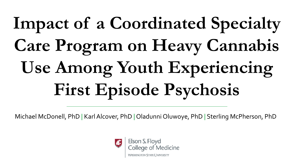# **Impact of a Coordinated Specialty Care Program on Heavy Cannabis Use Among Youth Experiencing First Episode Psychosis**

Michael McDonell, PhD | Karl Alcover, PhD | Oladunni Oluwoye, PhD | Sterling McPherson, PhD

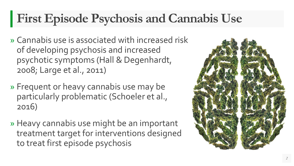## **First Episode Psychosis and Cannabis Use**

- » Cannabis use is associated with increased risk of developing psychosis and increased psychotic symptoms (Hall & Degenhardt, 2008; Large et al., 2011)
- » Frequent or heavy cannabis use may be particularly problematic (Schoeler et al., 2016)
- » Heavy cannabis use might be an important treatment target for interventions designed to treat first episode psychosis

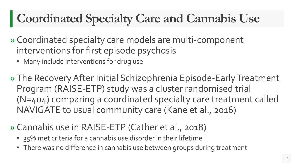## **Coordinated Specialty Care and Cannabis Use**

- » Coordinated specialty care models are multi-component interventions for first episode psychosis
	- Many include interventions for drug use
- » The Recovery After Initial Schizophrenia Episode-Early Treatment Program (RAISE-ETP) study was a cluster randomised trial (N=404) comparing a coordinated specialty care treatment called NAVIGATE to usual community care (Kane et al., 2016)
- » Cannabis use in RAISE-ETP (Cather et al., 2018)
	- 35% met criteria for a cannabis use disorder in their lifetime
	- There was no difference in cannabis use between groups during treatment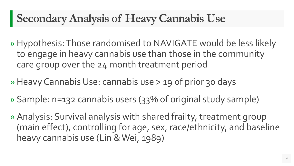#### **Secondary Analysis of Heavy Cannabis Use**

» Hypothesis: Those randomised to NAVIGATE would be less likely to engage in heavy cannabis use than those in the community care group over the 24 month treatment period

» Heavy Cannabis Use: cannabis use > 19 of prior 30 days

» Sample: n=132 cannabis users (33% of original study sample)

» Analysis: Survival analysis with shared frailty, treatment group (main effect), controlling for age, sex, race/ethnicity, and baseline heavy cannabis use (Lin & Wei, 1989)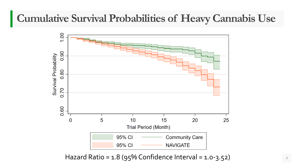#### **Cumulative Survival Probabilities of Heavy Cannabis Use**



Hazard Ratio = 1.8 (95% Confidence Interval = 1.0-3.52) *<sup>5</sup>*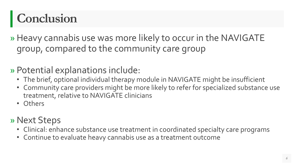## **Conclusion**

» Heavy cannabis use was more likely to occur in the NAVIGATE group, compared to the community care group

#### » Potential explanations include:

- The brief, optional individual therapy module in NAVIGATE might be insufficient
- Community care providers might be more likely to refer for specialized substance use treatment, relative to NAVIGATE clinicians
- Others

#### »Next Steps

- Clinical: enhance substance use treatment in coordinated specialty care programs
- Continue to evaluate heavy cannabis use as a treatment outcome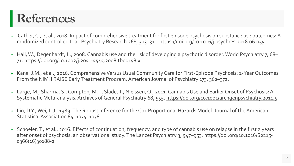### **References**

- » Cather, C., et al., 2018. Impact of comprehensive treatment for first episode psychosis on substance use outcomes: A randomized controlled trial. Psychiatry Research 268, 303–311. https://doi.org/10.1016/j.psychres.2018.06.055
- » Hall, W., Degenhardt, L., 2008. Cannabis use and the risk of developing a psychotic disorder. World Psychiatry 7, 68– 71. https://doi.org/10.1002/j.2051-5545.2008.tb00158.x
- » Kane, J.M., et al., 2016. Comprehensive Versus Usual Community Care for First-Episode Psychosis: 2-Year Outcomes From the NIMH RAISE Early Treatment Program. American Journal of Psychiatry 173, 362–372.
- » Large, M., Sharma, S., Compton, M.T., Slade, T., Nielssen, O., 2011. Cannabis Use and Earlier Onset of Psychosis: A Systematic Meta-analysis. Archives of General Psychiatry 68, 555. <https://doi.org/10.1001/archgenpsychiatry.2011.5>
- » Lin, D.Y., Wei, L.J., 1989. The Robust Inference for the Cox Proportional Hazards Model. Journal of the American Statistical Association 84, 1074–1078.
- » Schoeler, T., et al., 2016. Effects of continuation, frequency, and type of cannabis use on relapse in the first 2 years after onset of psychosis: an observational study. The Lancet Psychiatry 3, 947–953. https://doi.org/10.1016/S2215- 0366(16)30188-2